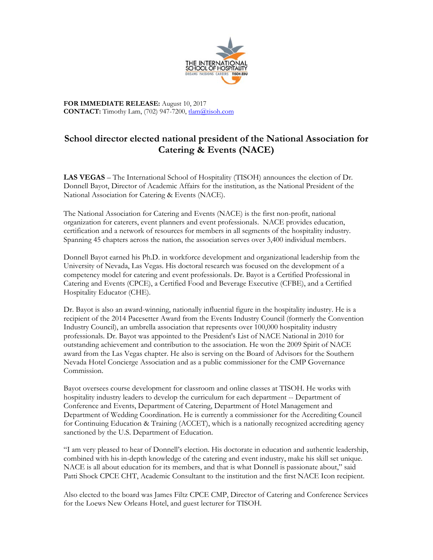

**FOR IMMEDIATE RELEASE:** August 10, 2017 **CONTACT:** Timothy Lam, (702) 947-7200, tlam@tisoh.com

## **School director elected national president of the National Association for Catering & Events (NACE)**

**LAS VEGAS** – The International School of Hospitality (TISOH) announces the election of Dr. Donnell Bayot, Director of Academic Affairs for the institution, as the National President of the National Association for Catering & Events (NACE).

The National Association for Catering and Events (NACE) is the first non-profit, national organization for caterers, event planners and event professionals. NACE provides education, certification and a network of resources for members in all segments of the hospitality industry. Spanning 45 chapters across the nation, the association serves over 3,400 individual members.

Donnell Bayot earned his Ph.D. in workforce development and organizational leadership from the University of Nevada, Las Vegas. His doctoral research was focused on the development of a competency model for catering and event professionals. Dr. Bayot is a Certified Professional in Catering and Events (CPCE), a Certified Food and Beverage Executive (CFBE), and a Certified Hospitality Educator (CHE).

Dr. Bayot is also an award-winning, nationally influential figure in the hospitality industry. He is a recipient of the 2014 Pacesetter Award from the Events Industry Council (formerly the Convention Industry Council), an umbrella association that represents over 100,000 hospitality industry professionals. Dr. Bayot was appointed to the President's List of NACE National in 2010 for outstanding achievement and contribution to the association. He won the 2009 Spirit of NACE award from the Las Vegas chapter. He also is serving on the Board of Advisors for the Southern Nevada Hotel Concierge Association and as a public commissioner for the CMP Governance Commission.

Bayot oversees course development for classroom and online classes at TISOH. He works with hospitality industry leaders to develop the curriculum for each department -- Department of Conference and Events, Department of Catering, Department of Hotel Management and Department of Wedding Coordination. He is currently a commissioner for the Accrediting Council for Continuing Education & Training (ACCET), which is a nationally recognized accrediting agency sanctioned by the U.S. Department of Education.

"I am very pleased to hear of Donnell's election. His doctorate in education and authentic leadership, combined with his in-depth knowledge of the catering and event industry, make his skill set unique. NACE is all about education for its members, and that is what Donnell is passionate about," said Patti Shock CPCE CHT, Academic Consultant to the institution and the first NACE Icon recipient.

Also elected to the board was James Filtz CPCE CMP, Director of Catering and Conference Services for the Loews New Orleans Hotel, and guest lecturer for TISOH.